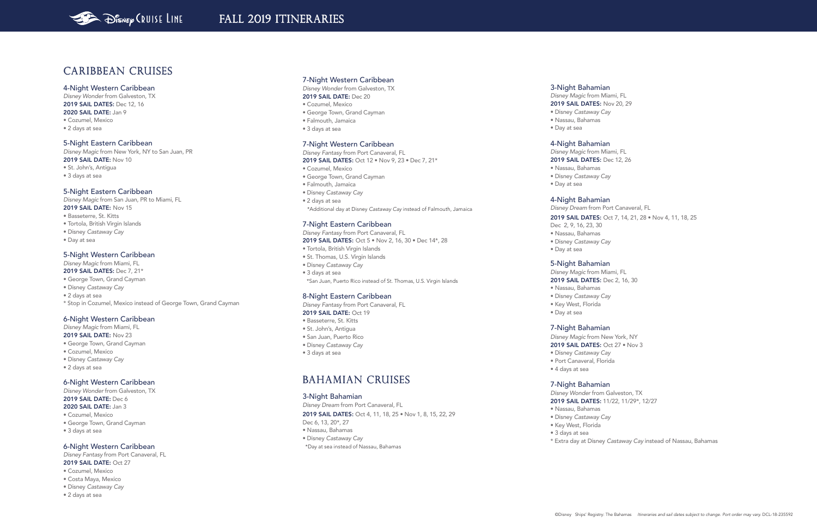

# Caribbean Cruises

### 4-Night Western Caribbean

*Disney Wonder* from Galveston, TX 2019 SAIL DATES: Dec 12, 16

## 2020 SAIL DATE: Jan 9

- Cozumel, Mexico
- 2 days at sea

### 5-Night Eastern Caribbean

*Disney Magic* from New York, NY to San Juan, PR 2019 SAIL DATE: Nov 10

• St. John's, Antigua

• 3 days at sea

### 5-Night Eastern Caribbean

*Disney Magic* from San Juan, PR to Miami, FL 2019 SAIL DATE: Nov 15

• Basseterre, St. Kitts

- Tortola, British Virgin Islands
- Disney *Castaway Cay*
- Day at sea

### 5-Night Western Caribbean

*Disney Magic* from Miami, FL 2019 SAIL DATES: Dec 7, 21\*

- George Town, Grand Cayman
- Disney *Castaway Cay*
- 2 days at sea
- \* Stop in Cozumel, Mexico instead of George Town, Grand Cayman

### 6-Night Western Caribbean

*Disney Magic* from Miami, FL 2019 SAIL DATE: Nov 23

- George Town, Grand Cayman
- Cozumel, Mexico
- Disney *Castaway Cay*
- 2 days at sea

### 6-Night Western Caribbean

*Disney Wonder* from Galveston, TX 2019 SAIL DATE: Dec 6 2020 SAIL DATE: Jan 3

### • Cozumel, Mexico

• George Town, Grand Cayman

• 3 days at sea

### 6-Night Western Caribbean

*Disney Fantasy* from Port Canaveral, FL 2019 SAIL DATE: Oct 27

- Cozumel, Mexico
- Costa Maya, Mexico
- Disney *Castaway Cay*
- 2 days at sea

### 7-Night Western Caribbean

*Disney Wonder* from Galveston, TX

- 2019 SAIL DATE: Dec 20
- Cozumel, Mexico
- George Town, Grand Cayman
- Falmouth, Jamaica
- 3 days at sea

### 7-Night Western Caribbean

*Disney Fantasy* from Port Canaveral, FL 2019 SAIL DATES: Oct 12 • Nov 9, 23 • Dec 7, 21\*

- Cozumel, Mexico
- George Town, Grand Cayman
- Falmouth, Jamaica
- Disney *Castaway Cay*
- 2 days at sea

\*Additional day at Disney *Castaway Cay* instead of Falmouth, Jamaica

### 7-Night Eastern Caribbean

*Disney Fantasy* from Port Canaveral, FL 2019 SAIL DATES: Oct 5 • Nov 2, 16, 30 • Dec 14\*, 28

- Tortola, British Virgin Islands
- St. Thomas, U.S. Virgin Islands
- Disney *Castaway Cay*
- 3 days at sea
- \*San Juan, Puerto Rico instead of St. Thomas, U.S. Virgin Islands

### 8-Night Eastern Caribbean

*Disney Fantasy* from Port Canaveral, FL 2019 SAIL DATE: Oct 19

- Basseterre, St. Kitts
- St. John's, Antigua
- San Juan, Puerto Rico
- Disney *Castaway Cay*
- 3 days at sea

# BAHAMIAN CRUISES

### 3-Night Bahamian

*Disney Dream* from Port Canaveral, FL 2019 SAIL DATES: Oct 4, 11, 18, 25 • Nov 1, 8, 15, 22, 29

Dec 6, 13, 20\*, 27

- Nassau, Bahamas
- Disney *Castaway Cay*
- \*Day at sea instead of Nassau, Bahamas

## 3-Night Bahamian *Disney Magic* from Miami, FL

2019 SAIL DATES: Nov 20, 29

2019 SAIL DATES: Oct 7, 14, 21, 28 · Nov 4, 11, 18, 25

• Disney *Castaway Cay*

- Nassau, Bahamas
- Day at sea

### 4-Night Bahamian *Disney Magic* from Miami, FL 2019 SAIL DATES: Dec 12, 26

- Nassau, Bahamas
- Disney *Castaway Cay*
- Day at sea

# 4-Night Bahamian *Disney Dream* from Port Canaveral, FL

## Dec 2, 9, 16, 23, 30

- Nassau, Bahamas
- Disney *Castaway Cay*
- Day at sea

## 5-Night Bahamian *Disney Magic* from Miami, FL

2019 SAIL DATES: Dec 2, 16, 30

- Nassau, Bahamas
- Disney *Castaway Cay*
- Key West, Florida
- Day at sea

### 7-Night Bahamian *Disney Magic* from New York, NY

## 2019 SAIL DATES: Oct 27 • Nov 3

- Disney *Castaway Cay* • Port Canaveral, Florida
- 4 days at sea

### 7-Night Bahamian *Disney Wonder* from Galveston, TX

2019 SAIL DATES: 11/22, 11/29\*, 12/27

• Nassau, Bahamas

• Disney *Castaway Cay* • Key West, Florida

• 3 days at sea

\* Extra day at Disney *Castaway Cay* instead of Nassau, Bahamas